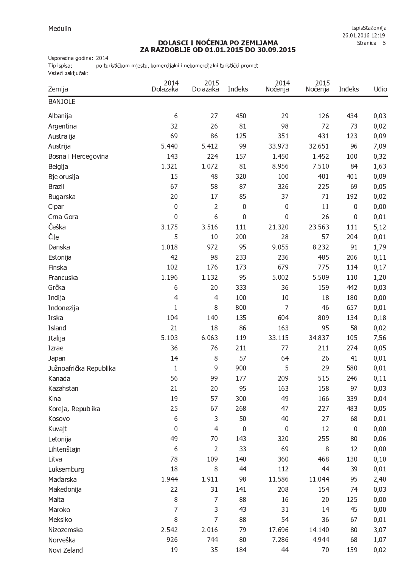## DOLASCI I NOĆENJA PO ZEMLJAMA<br>ZA RAZDOBLJE OD 01.01.2015 DO 30.09.2015

Usporedna godina: 2014

Tip ispisa: po turističkom mjestu, komercijalni i nekomercijalni turistički promet Važeći zaključak:

| Zemlja                 | 2014<br>Dolazaka | 2015<br>Dolazaka | Indeks      | 2014<br>Noćenja | 2015<br>Noćenja | Indeks           | Udio |
|------------------------|------------------|------------------|-------------|-----------------|-----------------|------------------|------|
| <b>BANJOLE</b>         |                  |                  |             |                 |                 |                  |      |
| Albanija               | 6                | 27               | 450         | 29              | 126             | 434              | 0,03 |
| Argentina              | 32               | 26               | 81          | 98              | 72              | 73               | 0,02 |
| Australija             | 69               | 86               | 125         | 351             | 431             | 123              | 0,09 |
| Austrija               | 5.440            | 5.412            | 99          | 33.973          | 32.651          | 96               | 7,09 |
| Bosna i Hercegovina    | 143              | 224              | 157         | 1.450           | 1.452           | 100              | 0,32 |
| Belgija                | 1.321            | 1.072            | 81          | 8.956           | 7.510           | 84               | 1,63 |
| Bjelorusija            | 15               | 48               | 320         | 100             | 401             | 401              | 0,09 |
| <b>Brazil</b>          | 67               | 58               | 87          | 326             | 225             | 69               | 0,05 |
| Bugarska               | 20               | 17               | 85          | 37              | 71              | 192              | 0,02 |
| Cipar                  | $\boldsymbol{0}$ | $\overline{2}$   | $\mathbf 0$ | $\mathbf 0$     | 11              | $\boldsymbol{0}$ | 0,00 |
| Crna Gora              | $\mathbf{0}$     | 6                | $\mathbf 0$ | $\mathbf 0$     | 26              | $\pmb{0}$        | 0,01 |
| Češka                  | 3.175            | 3.516            | 111         | 21.320          | 23.563          | 111              | 5,12 |
| Čile                   | 5                | 10               | 200         | 28              | 57              | 204              | 0,01 |
| Danska                 | 1.018            | 972              | 95          | 9.055           | 8.232           | 91               | 1,79 |
| Estonija               | 42               | 98               | 233         | 236             | 485             | 206              | 0,11 |
| Finska                 | 102              | 176              | 173         | 679             | 775             | 114              | 0,17 |
| Francuska              | 1.196            | 1.132            | 95          | 5.002           | 5.509           | 110              | 1,20 |
| Grčka                  | 6                | 20               | 333         | 36              | 159             | 442              | 0,03 |
| Indija                 | $\overline{4}$   | $\overline{4}$   | 100         | 10              | 18              | 180              | 0,00 |
| Indonezija             | $\mathbf{1}$     | 8                | 800         | $\overline{7}$  | 46              | 657              | 0,01 |
| Irska                  | 104              | 140              | 135         | 604             | 809             | 134              | 0,18 |
| Island                 | 21               | 18               | 86          | 163             | 95              | 58               | 0,02 |
| Italija                | 5.103            | 6.063            | 119         | 33.115          | 34.837          | 105              | 7,56 |
| Izrael                 | 36               | 76               | 211         | 77              | 211             | 274              | 0,05 |
| Japan                  | 14               | 8                | 57          | 64              | 26              | 41               | 0,01 |
| Južnoafrička Republika | $\mathbf{1}$     | $\mathsf 9$      | 900         | 5               | 29              | 580              | 0,01 |
| Kanada                 | 56               | 99               | 177         | 209             | 515             | 246              | 0,11 |
| Kazahstan              | 21               | 20               | 95          | 163             | 158             | 97               | 0,03 |
| Kina                   | 19               | 57               | 300         | 49              | 166             | 339              | 0,04 |
| Koreja, Republika      | 25               | 67               | 268         | 47              | 227             | 483              | 0,05 |
| Kosovo                 | 6                | 3                | 50          | 40              | 27              | 68               | 0,01 |
| Kuvajt                 | $\boldsymbol{0}$ | 4                | $\mathbf 0$ | $\mathbf 0$     | 12              | $\boldsymbol{0}$ | 0,00 |
| Letonija               | 49               | 70               | 143         | 320             | 255             | 80               | 0,06 |
| Lihtenštajn            | 6                | $\overline{2}$   | 33          | 69              | 8               | 12               | 0,00 |
| Litva                  | 78               | 109              | 140         | 360             | 468             | 130              | 0,10 |
| Luksemburg             | 18               | $\,8\,$          | 44          | 112             | 44              | 39               | 0,01 |
| Mađarska               | 1.944            | 1.911            | 98          | 11.586          | 11.044          | 95               | 2,40 |
| Makedonija             | 22               | 31               | 141         | 208             | 154             | 74               | 0,03 |
| Malta                  | $\, 8$           | 7                | 88          | 16              | 20              | 125              | 0,00 |
| Maroko                 | $\overline{7}$   | 3                | 43          | 31              | 14              | 45               | 0,00 |
| Meksiko                | $\, 8$           | $\overline{7}$   | 88          | 54              | 36              | 67               | 0,01 |
| Nizozemska             | 2.542            | 2.016            | 79          | 17.696          | 14.140          | 80               | 3,07 |
| Norveška               | 926              | 744              | 80          | 7.286           | 4.944           | 68               | 1,07 |
| Novi Zeland            | 19               | 35               | 184         | 44              | 70              | 159              | 0,02 |